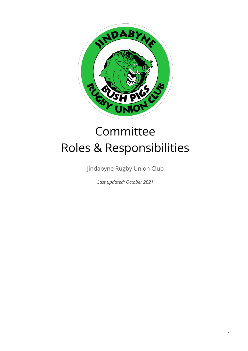

# Committee Roles & Responsibilities

Jindabyne Rugby Union Club

*Last updated: October 2021*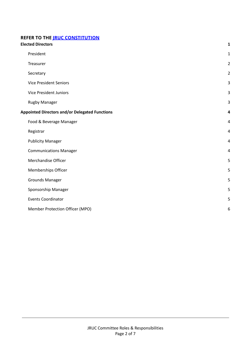# **REFER TO THE JRUC [CONSTITUTION](https://bushpigs.com.au/about-us/constitution/)**

<span id="page-1-0"></span>

| <b>Elected Directors</b>                              |                                 | $\mathbf{1}$   |
|-------------------------------------------------------|---------------------------------|----------------|
|                                                       | President                       | $\mathbf{1}$   |
|                                                       | Treasurer                       | $\overline{2}$ |
|                                                       | Secretary                       | $\overline{2}$ |
|                                                       | <b>Vice President Seniors</b>   | 3              |
|                                                       | <b>Vice President Juniors</b>   | 3              |
|                                                       | <b>Rugby Manager</b>            | 3              |
| <b>Appointed Directors and/or Delegated Functions</b> |                                 | 4              |
|                                                       | Food & Beverage Manager         | 4              |
|                                                       | Registrar                       | 4              |
|                                                       | <b>Publicity Manager</b>        | $\overline{4}$ |
|                                                       | <b>Communications Manager</b>   | $\overline{4}$ |
|                                                       | Merchandise Officer             | 5              |
|                                                       | Memberships Officer             | 5              |
|                                                       | Grounds Manager                 | 5              |
|                                                       | Sponsorship Manager             | 5              |
|                                                       | <b>Events Coordinator</b>       | 5              |
|                                                       | Member Protection Officer (MPO) | 6              |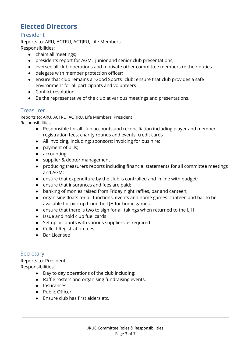# **Elected Directors**

# <span id="page-2-0"></span>President

Reports to: ARU, ACTRU, ACTJRU, Life Members Responsibilities:

- chairs all meetings;
- presidents report for AGM, junior and senior club presentations;
- oversee all club operations and motivate other committee members re their duties
- delegate with member protection officer;
- ensure that club remains a "Good Sports" club; ensure that club provides a safe environment for all participants and volunteers
- Conflict resolution
- Be the representative of the club at various meetings and presentations.

#### <span id="page-2-1"></span>**Treasurer**

Reports to: ARU, ACTRU, ACTJRU, Life Members, President Responsibilities:

- Responsible for all club accounts and reconciliation including player and member registration fees, charity rounds and events, credit cards
- All invoicing, including: sponsors; invoicing for bus hire;
- payment of bills;
- accounting
- supplier & debtor management
- producing treasurers reports including financial statements for all committee meetings and AGM;
- ensure that expenditure by the club is controlled and in line with budget;
- ensure that insurances and fees are paid;
- banking of monies raised from Friday night raffles, bar and canteen;
- organising floats for all functions, events and home games. canteen and bar to be available for pick up from the LJH for home games;
- ensure that there is two to sign for all takings when returned to the LJH
- Issue and hold club fuel cards
- Set up accounts with various suppliers as required
- Collect Registration fees.
- Bar Licensee

# <span id="page-2-2"></span>**Secretary**

Reports to: President Responsibilities:

- Day to day operations of the club including:
- Raffle rosters and organising fundraising events.
- Insurances
- Public Officer
- Ensure club has first aiders etc.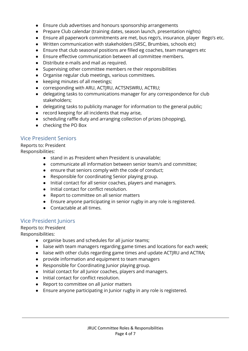- Ensure club advertises and honours sponsorship arrangements
- Prepare Club calendar (training dates, season launch, presentation nights)
- Ensure all paperwork commitments are met, bus rego's, insurance, player Rego's etc.
- Written communication with stakeholders (SRSC, Brumbies, schools etc)
- Ensure that club seasonal positions are filled eg coaches, team managers etc
- Ensure effective communication between all committee members.
- Distribute e-mails and mail as required.
- Supervising other committee members re their responsibilities
- Organise regular club meetings, various committees.
- keeping minutes of all meetings;
- corresponding with ARU, ACTJRU, ACTSNSWRU, ACTRU;
- delegating tasks to communications manager for any correspondence for club stakeholders;
- delegating tasks to publicity manager for information to the general public;
- record keeping for all incidents that may arise,
- scheduling raffle duty and arranging collection of prizes (shopping),
- checking the PO Box

# <span id="page-3-0"></span>Vice President Seniors

Reports to: President

Responsibilities:

- stand in as President when President is unavailable;
- communicate all information between senior team/s and committee;
- ensure that seniors comply with the code of conduct;
- Responsible for coordinating Senior playing group.
- Initial contact for all senior coaches, players and managers.
- Initial contact for conflict resolution.
- Report to committee on all senior matters
- Ensure anyone participating in senior rugby in any role is registered.
- Contactable at all times.

# <span id="page-3-1"></span>Vice President Juniors

Reports to: President

Responsibilities:

- organise buses and schedules for all junior teams;
- liaise with team managers regarding game times and locations for each week;
- liaise with other clubs regarding game times and update ACTJRU and ACTRA;
- provide information and equipment to team managers
- Responsible for Coordinating Junior playing group.
- Initial contact for all Junior coaches, players and managers.
- Initial contact for conflict resolution.
- Report to committee on all junior matters
- Ensure anyone participating in Junior rugby in any role is registered.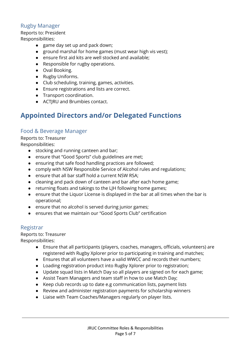# <span id="page-4-0"></span>Rugby Manager

Reports to: President

Responsibilities:

- game day set up and pack down;
- ground marshal for home games (must wear high vis vest);
- ensure first aid kits are well stocked and available;
- Responsible for rugby operations.
- Oval Booking.
- Rugby Uniforms.
- Club scheduling, training, games, activities.
- Ensure registrations and lists are correct.
- Transport coordination.
- ACTJRU and Brumbies contact.

# <span id="page-4-1"></span>**Appointed Directors and/or Delegated Functions**

# <span id="page-4-2"></span>Food & Beverage Manager

Reports to: Treasurer

Responsibilities:

- stocking and running canteen and bar;
- ensure that "Good Sports" club guidelines are met;
- ensuring that safe food handling practices are followed;
- comply with NSW Responsible Service of Alcohol rules and regulations;
- ensure that all bar staff hold a current NSW RSA;
- cleaning and pack down of canteen and bar after each home game;
- returning floats and takings to the LJH following home games;
- ensure that the Liquor License is displayed in the bar at all times when the bar is operational;
- ensure that no alcohol is served during junior games;
- **●** ensures that we maintain our "Good Sports Club" certification

#### <span id="page-4-3"></span>Registrar

Reports to: Treasurer Responsibilities:

- Ensure that all participants (players, coaches, managers, officials, volunteers) are registered with Rugby Xplorer prior to participating in training and matches;
- Ensures that all volunteers have a valid WWCC and records their numbers;
- Loading registration product into Rugby Xplorer prior to registration;
- Update squad lists in Match Day so all players are signed on for each game;
- **●** Assist Team Managers and team staff in how to use Match Day;
- Keep club records up to date e.g communication lists, payment lists
- Review and administer registration payments for scholarship winners
- Liaise with Team Coaches/Managers regularly on player lists.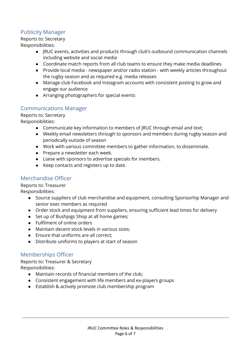# <span id="page-5-0"></span>Publicity Manager

Reports to: Secretary Responsibilities:

- JRUC events, activities and products through club's outbound communication channels including website and social media
- Coordinate match reports from all club teams to ensure they make media deadlines
- Provide local media newspaper and/or radio station with weekly articles throughout the rugby season and as required e.g. media releases
- Manage club Facebook and Instagram accounts with consistent posting to grow and engage our audience
- Arranging photographers for special events

#### <span id="page-5-1"></span>Communications Manager

#### Reports to: Secretary

Responsibilities:

- Communicate key information to members of JRUC through email and text;
- Weekly email newsletters through to sponsors and members during rugby season and periodically outside of season
- Work with various committee members to gather information, to disseminate.
- Prepare a newsletter each week.
- Liaise with sponsors to advertise specials for members.
- Keep contacts and registers up to date.

# <span id="page-5-2"></span>Merchandise Officer

Reports to: Treasurer

Responsibilities:

- Source suppliers of club merchandise and equipment, consulting Sponsorhip Manager and senior exec members as required
- Order stock and equipment from suppliers, ensuring sufficient lead times for delivery
- Set up of Bushpigs Shop at all home games;
- Fulfilment of online orders
- Maintain decent stock levels in various sizes;
- Ensure that uniforms are all correct;
- **●** Distribute uniforms to players at start of season

#### <span id="page-5-3"></span>Memberships Officer

Reports to: Treasurer & Secretary Responsibilities:

- Maintain records of financial members of the club;
- **●** Consistent engagement with life members and ex-players groups
- **●** Establish & actively promote club membership program